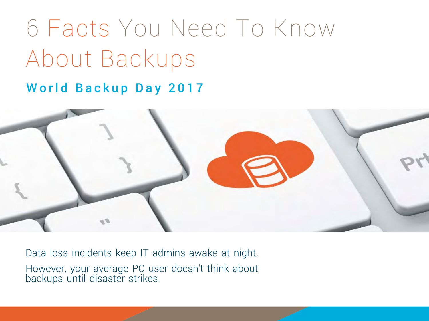# 6 Facts You Need To Know About Backups

#### World Backup Day 2017



Data loss incidents keep IT admins awake at night. However, your average PC user doesn't think about backups until disaster strikes.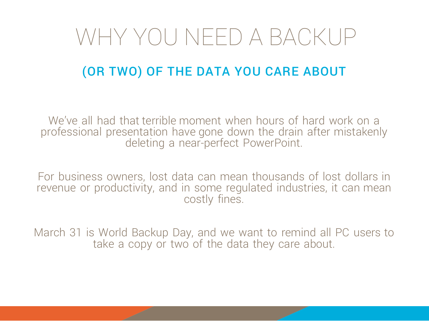## WHY YOU NEED A BACKUP

### (OR TWO) OF THE DATA YOU CARE ABOUT

We've all had that terrible moment when hours of hard work on a professional presentation have gone down the drain after mistakenly deleting a near-perfect PowerPoint.

For business owners, lost data can mean thousands of lost dollars in revenue or productivity, and in some regulated industries, it can mean costly fines.

March 31 is World Backup Day, and we want to remind all PC users to take a copy or two of the data they care about.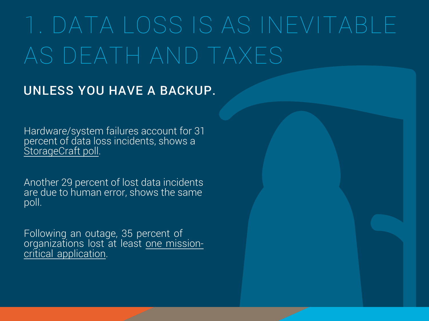# AS DEATH AND TAXES

### UNLESS YOU HAVE A BACKUP.

[Hardware/system failures account for 31](https://www.storagecraft.com/blog/data-loss-statistics-infographic/)  percent of data loss incidents, shows a StorageCraft poll.

Another 29 percent of lost data incidents are due to human error, shows the same poll.

Following an outage, 35 percent of organizations lost at least <u>one mission-</u> critical application.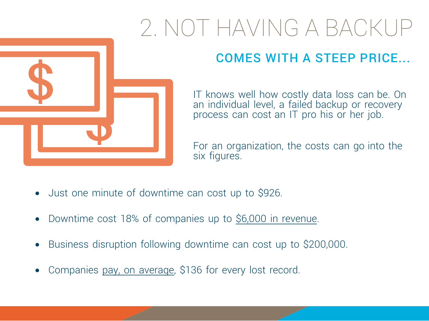# 2. NOT HAVING A BACKUP



### COMES WITH A STEEP PRICE...

IT knows well how costly data loss can be. On an individual level, a failed backup or recovery process can cost an IT pro his or her job.

For an organization, the costs can go into the six figures.

- Just one minute of downtime can cost up to \$926.
- Downtime cost 18% of companies up to \$6,000 in revenue.
- [Business disruption following downtime can cost up to \\$200,000.](https://www.storagecraft.com/blog/cybercrime-costs-rise-2016-infographic/)
- Companies pay, on average, \$136 for every lost record.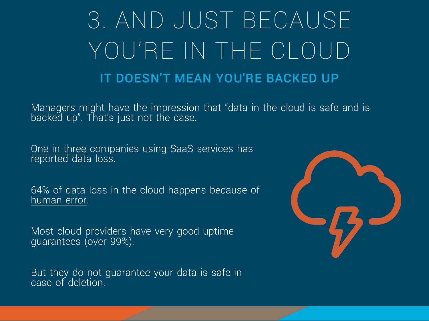# 3. AND JUST BECAUSE YOU'RE IN THE CLOUD IT DOESN'T MEAN YOU'RE BACKED UP

Managers might have the impression that "data in the cloud is safe and is backed up". That's just not the case.

One in three companies using SaaS services has reported data loss.

[64% of data loss in the cloud happens because of](https://www.storagecraft.com/blog/common-causes-saas-data-loss/)  human error.

Most cloud providers have very good uptime guarantees (over 99%).

But they do not guarantee your data is safe in case of deletion.

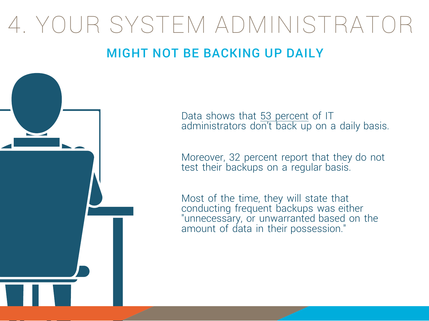# 4. YOUR SYSTEM ADMINISTRATOR

### MIGHT NOT BE BACKING UP DAILY



Data shows that 53 percent of IT [administrators don't back up on a daily basis.](https://www.storagecraft.com/blog/statistics-continuity-tech/) 

Moreover, 32 percent report that they do not test their backups on a regular basis.

Most of the time, they will state that conducting frequent backups was either "unnecessary, or unwarranted based on the amount of data in their possession."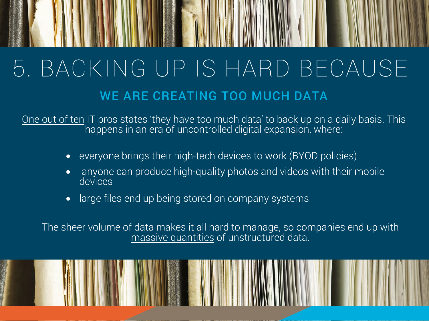# 5. BACKING UP IS HARD BECAUSE WE ARE CREATING TOO MUCH DATA

<u>One out of ten</u> IT pros states 'they have too much data' to back up on a daily basis. This happens in an era of uncontrolled digital expansion, where:

- everyone brings their high-tech devices to work (BYOD policies)
- • [anyone can produce high-quality photos and videos with their mobile](https://www.storagecraft.com/blog/file-storage-cost-statistics/)  devices
- large files end up being stored on company systems

[The sheer volume of data makes it all hard to manage, so companies end up with](https://www.storagecraft.com/blog/file-storage-cost-statistics/)  massive quantities of unstructured data.

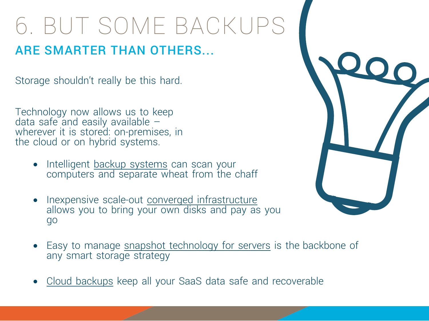# 6. BUT SOME BACKUPS

### ARE SMARTER THAN OTHERS...

Storage shouldn't really be this hard.

Technology now allows us to keep data safe and easily available  $$ wherever it is stored: on-premises, in the cloud or on hybrid systems.

- Intelligent backup systems can scan your [computers and separate wheat from the chaff](https://www.storagecraft.com/products/file-backup-recovery-with-backup-analyzer)
- Inexpensive scale-out converged infrastructure [allows you to bring your own disks and pay as you](https://www.exablox.com/)  go



- [Easy to manage snapshot technology for servers](https://www.storagecraft.com/products/shadowprotect-spx) is the backbone of any smart storage strategy
- Cloud backups keep all your SaaS data safe and recoverable